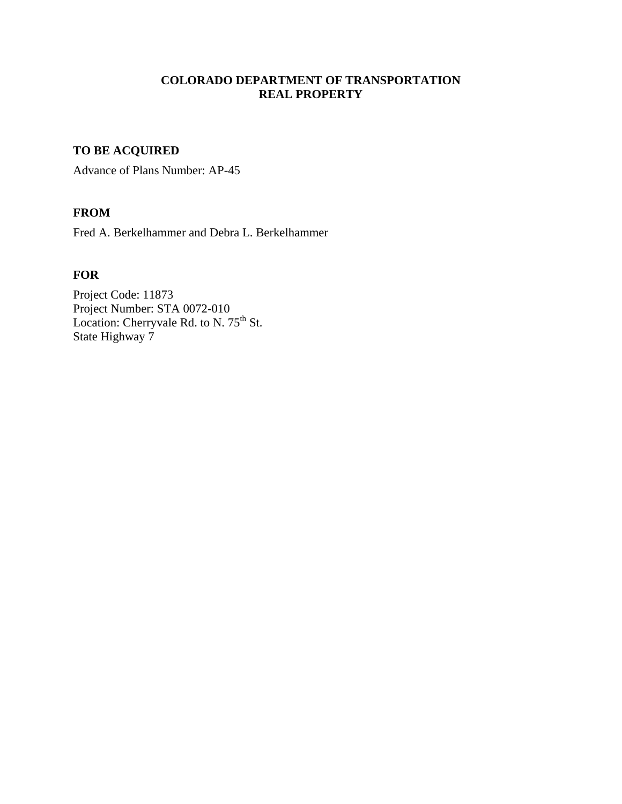## **COLORADO DEPARTMENT OF TRANSPORTATION REAL PROPERTY**

# **TO BE ACQUIRED**

Advance of Plans Number: AP-45

# **FROM**

Fred A. Berkelhammer and Debra L. Berkelhammer

### **FOR**

Project Code: 11873 Project Number: STA 0072-010 Location: Cherryvale Rd. to N.  $75<sup>th</sup>$  St. State Highway 7